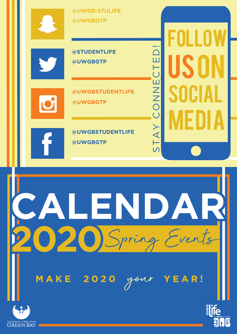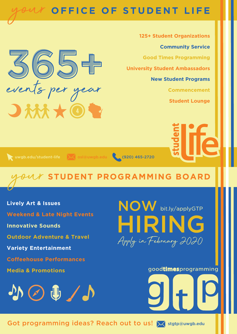# **OFFICE OF STUDENT LIFE** your

**Community Service** B65+ **Good Times Programming University Student Ambassadors New Student Programs Commencement Student Lounge**

**125+ Student Organizations**

uwgb.edu/student-life X osl@uwgb.edu (920) 465-2720

 $\bigcup$   $M$ 

**STUDENT PROGRAMMING BOARD** your

**Lively Art & Issues Weekend & Late Night Events Innovative Sounds Outdoor Adventure & Travel Variety Entertainment Coffeehouse Performances Media & Promotions**



NOW bit.ly/applyGTP HIRING Apply in February 2020

# goodtimesprogramming



Got programming ideas? Reach out to us! X stgtp@uwgb.edu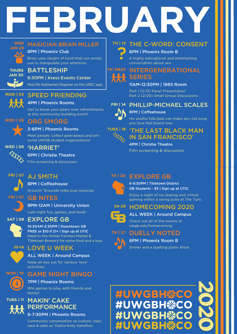# **FEBRUARY**



**THURS JAN 30**

### MAGICIAN BRIAN MILLER

#### 8PM | Phoenix Club

Brian uses sleight of hand that con artists use to manipulate your attention.

# BATTLESHIP

6:30PM | Kress Events Center Real life Battleship! Register on the UREC app.



# SPEED FRIENDING

### 4PM | Phoenix Rooms

Get to know your peers over refreshments at this community-building event!



### ORG SMORG 3-6PM | Phoenix Rooms

Meet people, collect give-aways and join some UWGB student organizations!



# 6PM | Christie Theatre

Film screening & discussion



# 8PM | Coffeehouse

Groovin' Grounds indie-pop musician

**FRI | 07** GB NITES

# 9PM-12AM | University Union

Late night fun, games, and food!



# **SAT | 08** EXPLORE GB

10:30AM-2:30PM | Downtown GB FREE or \$10 if 21+ | Sign up at UTIC Head to the Winter Farmers Market & Titletown Brewery for some food and a tour.

# **10-14** LOVE U WEEK

# ALL WEEK | Around Campus

Keep an eye out for various 'love' activities!



### GAME NIGHT BINGO 7PM | Phoenix Rooms

Win games to play with friends and family!

#### **TUES | 11** MAKIN' CAKE PERFORMANCE 林木

6-7:30PM | Phoenix Rooms

Community conversation on culture, class, race & cake w/ Dasha Kelly Hamilton.

# THI<sub>13</sub> THE C-WORD: CONSENT

### 6PM | Phoenix Room B

A highly educational and entertaining conversation about sex.

#### **TH 13&20** INTERGENERATIONAL **SERIES** TYTYT

### 11AM-12:30PM | 1965 Room

Part 1 (2/13) Panel Presentation Part 2 (2/20) Small Group Discussions

#### **FRI | 14** PHILLIP-MICHAEL SCALES



# 8PM | Coffeehouse

His soulful folk/pop can make any old song you love feel brand new.



# 'THE LAST BLACK MAN IN SAN FRANCISCO'

4PM | Christie Theatre Film screening & discussion

#### **TH | 20** EXPLORE GB

6-9:30PM | Titletown District GB Students - \$5 | Sign up at UTIC

Enjoy a night of ice skating and virtual gaming within a swing suite at The Turn.



#### HOMECOMING 2020 ALL WEEK | Around Campus

Check out all of the events at uwgb.edu/homecoming

#### **TH | 27** DUELLY NOTED



# 6PM | Phoenix Room B



Dinner and a duelling piano show.

# #UWGBH<sup></sup>SCO #UWGBH<sup></sup>CO #UWGBH※CO #UWGBH<del>黎</del>C

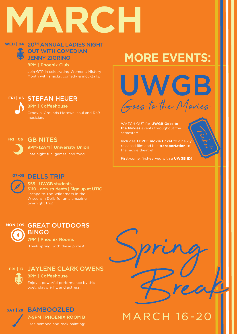# **MARCH**

# WED | 04 20TH ANNUAL LADIES NIGHT **OUT WITH COMEDIAN** JENNY ZIGRINO

8PM | Phoenix Club

Join GTP in celebrating Women's History Month with snacks, comedy & mocktails.

# STEFAN HEUER **FRI | 06**

8PM | Coffeehouse Groovin' Grounds Motown, soul and RnB musician.

# **FRI | 06**

GB NITES 9PM-12AM | University Union

Late night fun, games, and food!

# **MORE EVENTS:**

UWGB Goes to the Movies

WATCH OUT for **UWGB Goes to the Movies** events throughout the semester!

Includes **1 FREE movie ticket** to a newly released film and bus **transportation** to the movie theatre!

First-come, first-served with a **UWGB ID!**

# **07-08** DELLS TRIP

\$55 - UWGB students \$110 - non-students | Sign up at UTIC Escape to The Wilderness in the Wisconsin Dells for an a amazing overnight trip!

# **MON | 09** GREAT OUTDOORS BINGO

7PM | Phoenix Rooms 'Think spring' with these prizes!

# **FRI | 13** JAYLENE CLARK OWENS

8PM | Coffeehouse

Enjoy a powerful performance by this poet, playwright, and actress.

# **SAT | 28** BAMBOOZLED 7-9PM | PHOENIX ROOM B Free bamboo and rock painting!

**MARCH 16-20**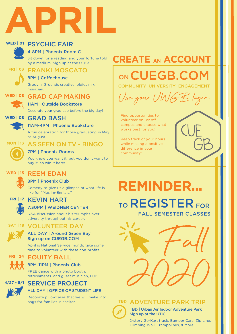

# WED | 01 PSYCHIC FAIR



# 4-8PM | Phoenix Room C

Sit down for a reading and your fortune told by a medium. Sign up at the UTIC!

#### FRANKI MOSCATO **FRI | 03**

### 8PM | Coffeehouse

Groovin' Grounds creative, oldies mix musician.



#### GRAD CAP MAKING 11AM | Outside Bookstore

Decorate your grad cap before the big day!

GRAD BASH **WED | 08**

11AM-4PM | Phoenix Bookstore

A fun celebration for those graduating in May or August.

AS SEEN ON TV - BINGO



### 7PM | Phoenix Rooms

You know you want it, but you don't want to buy it, so win it here!



# **WED | 15** REEM EDAN

8PM | Phoenix Club

Comedy to give us a glimpse of what life is like for "Muslim-Ennials."

# **FRI | 17** KEVIN HART



# 7:30PM | WEIDNER CENTER

Q&A discussion about his triumphs over adversity throughout his career.

# **SAT | 18** VOLUNTEER DAY



### ALL DAY | Around Green Bay Sign up on CUEGB.COM

April is National Service month; take some time to volunteer with these non-profits.

**FRI | 24** EQUITY BALL

# 8PM-11PM | Phoenix Club

FREE dance with a photo booth, refreshments and guest musician, DJB!

# **4/27 - 5/1** SERVICE PROJECT



# ALL DAY | OFFICE OF STUDENT LIFE

Decorate pillowcases that we will make into bags for families in shelter.

# **CREATE AN ACCOUNT**

# ON CUEGB.COM

COMMUNITY UNIVERSITY ENGAGEMENT



Find opportunities to volunteer on- or offcampus and choose what works best for you!

Keep track of your hours while making a positive difference in your community!

# **REMINDER...** TO REGISTER FOR





TBD | Urban Air Indoor Adventure Park Sign up at the UTIC

2-story Go-Kart track, Bumper Cars, Zip Line, Climbing Wall, Trampolines, & More!